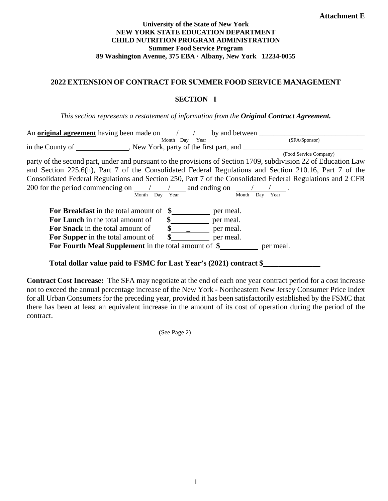#### **University of the State of New York NEW YORK STATE EDUCATION DEPARTMENT CHILD NUTRITION PROGRAM ADMINISTRATION Summer Food Service Program 89 Washington Avenue, 375 EBA · Albany, New York 12234-0055**

### **2022 EXTENSION OF CONTRACT FOR SUMMER FOOD SERVICE MANAGEMENT**

#### **SECTION I**

*This section represents a restatement of information from the Original Contract Agreement.*

| party of the second part, under and pursuant to the provisions of Section 1709, subdivision 22 of Education Law |
|-----------------------------------------------------------------------------------------------------------------|
| and Section 225.6(h), Part 7 of the Consolidated Federal Regulations and Section 210.16, Part 7 of the          |
| Consolidated Federal Regulations and Section 250, Part 7 of the Consolidated Federal Regulations and 2 CFR      |
|                                                                                                                 |
|                                                                                                                 |
|                                                                                                                 |
|                                                                                                                 |
|                                                                                                                 |
|                                                                                                                 |
|                                                                                                                 |
|                                                                                                                 |
|                                                                                                                 |
|                                                                                                                 |

**Total dollar value paid to FSMC for Last Year's (2021) contract \$\_\_\_\_\_\_\_\_\_\_\_\_\_\_\_** 

**Contract Cost Increase:** The SFA may negotiate at the end of each one year contract period for a cost increase not to exceed the annual percentage increase of the New York - Northeastern New Jersey Consumer Price Index for all Urban Consumers for the preceding year, provided it has been satisfactorily established by the FSMC that there has been at least an equivalent increase in the amount of its cost of operation during the period of the contract.

(See Page 2)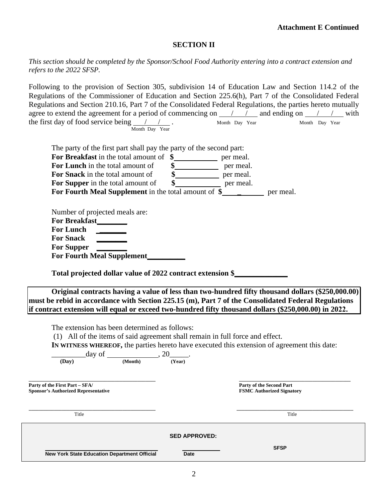## **SECTION II**

*This section should be completed by the Sponsor/School Food Authority entering into a contract extension and refers to the 2022 SFSP.* 

Following to the provision of Section 305, subdivision 14 of Education Law and Section 114.2 of the Regulations of the Commissioner of Education and Section 225.6(h), Part 7 of the Consolidated Federal Regulations and Section 210.16, Part 7 of the Consolidated Federal Regulations, the parties hereto mutually agree to extend the agreement for a period of commencing on  $\frac{\pi}{\pi}$  and ending on  $\frac{\pi}{\pi}$  / with the first day of food service being / / . Month Day Year Month Day Year Month Day Year

| The extension has been determined as follows:<br>(1) All of the items of said agreement shall remain in full force and effect.<br>(Dav)<br>Party of the First Part - SFA/<br><b>Sponsor's Authorized Representative</b><br>Title | (Month)                                                    | (Year)<br><b>SED APPROVED:</b> |           | IN WITNESS WHEREOF, the parties hereto have executed this extension of agreement this date:<br>Party of the Second Part<br><b>FSMC Authorized Signatory</b><br>Title                                         |  |  |
|----------------------------------------------------------------------------------------------------------------------------------------------------------------------------------------------------------------------------------|------------------------------------------------------------|--------------------------------|-----------|--------------------------------------------------------------------------------------------------------------------------------------------------------------------------------------------------------------|--|--|
|                                                                                                                                                                                                                                  |                                                            |                                |           |                                                                                                                                                                                                              |  |  |
|                                                                                                                                                                                                                                  |                                                            |                                |           |                                                                                                                                                                                                              |  |  |
|                                                                                                                                                                                                                                  |                                                            |                                |           |                                                                                                                                                                                                              |  |  |
|                                                                                                                                                                                                                                  |                                                            |                                |           |                                                                                                                                                                                                              |  |  |
|                                                                                                                                                                                                                                  |                                                            |                                |           |                                                                                                                                                                                                              |  |  |
|                                                                                                                                                                                                                                  |                                                            |                                |           |                                                                                                                                                                                                              |  |  |
|                                                                                                                                                                                                                                  |                                                            |                                |           |                                                                                                                                                                                                              |  |  |
|                                                                                                                                                                                                                                  |                                                            |                                |           |                                                                                                                                                                                                              |  |  |
|                                                                                                                                                                                                                                  |                                                            |                                |           | must be rebid in accordance with Section 225.15 (m), Part 7 of the Consolidated Federal Regulations<br>if contract extension will equal or exceed two-hundred fifty thousand dollars (\$250,000.00) in 2022. |  |  |
|                                                                                                                                                                                                                                  |                                                            |                                |           | Original contracts having a value of less than two-hundred fifty thousand dollars (\$250,000.00)                                                                                                             |  |  |
|                                                                                                                                                                                                                                  | Total projected dollar value of 2022 contract extension \$ |                                |           |                                                                                                                                                                                                              |  |  |
| For Fourth Meal Supplement                                                                                                                                                                                                       |                                                            |                                |           |                                                                                                                                                                                                              |  |  |
| <b>For Supper</b>                                                                                                                                                                                                                |                                                            |                                |           |                                                                                                                                                                                                              |  |  |
| <b>For Snack</b>                                                                                                                                                                                                                 |                                                            |                                |           |                                                                                                                                                                                                              |  |  |
| <b>For Lunch</b>                                                                                                                                                                                                                 | $\mathcal{L} = \mathcal{L} \times \mathcal{L}$             |                                |           |                                                                                                                                                                                                              |  |  |
| Number of projected meals are:                                                                                                                                                                                                   |                                                            |                                |           |                                                                                                                                                                                                              |  |  |
|                                                                                                                                                                                                                                  |                                                            |                                |           |                                                                                                                                                                                                              |  |  |
| For Supper in the total amount of<br>For Fourth Meal Supplement in the total amount of \$                                                                                                                                        |                                                            | \$                             | per meal. | per meal.                                                                                                                                                                                                    |  |  |
|                                                                                                                                                                                                                                  |                                                            |                                | per meal. |                                                                                                                                                                                                              |  |  |
|                                                                                                                                                                                                                                  |                                                            |                                | per meal. |                                                                                                                                                                                                              |  |  |
| For Lunch in the total amount of<br>For Snack in the total amount of                                                                                                                                                             |                                                            |                                |           |                                                                                                                                                                                                              |  |  |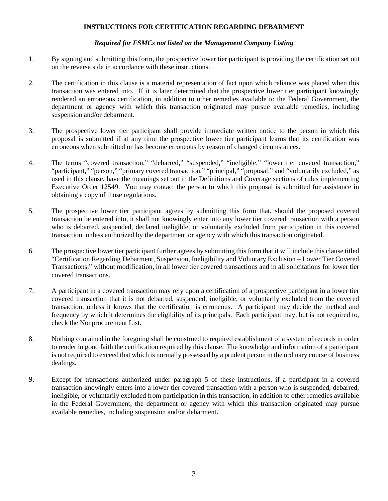#### **INSTRUCTIONS FOR CERTIFICATION REGARDING DEBARMENT**

#### *Required for FSMCs not listed on the Management Company Listing*

- 1. By signing and submitting this form, the prospective lower tier participant is providing the certification set out on the reverse side in accordance with these instructions.
- 2. The certification in this clause is a material representation of fact upon which reliance was placed when this transaction was entered into. If it is later determined that the prospective lower tier participant knowingly rendered an erroneous certification, in addition to other remedies available to the Federal Government, the department or agency with which this transaction originated may pursue available remedies, including suspension and/or debarment.
- 3. The prospective lower tier participant shall provide immediate written notice to the person in which this proposal is submitted if at any time the prospective lower tier participant learns that its certification was erroneous when submitted or has become erroneous by reason of changed circumstances.
- 4. The terms "covered transaction," "debarred," "suspended," "ineligible," "lower tier covered transaction," "participant," "person," "primary covered transaction," "principal," "proposal," and "voluntarily excluded," as used in this clause, have the meanings set out in the Definitions and Coverage sections of rules implementing Executive Order 12549. You may contact the person to which this proposal is submitted for assistance in obtaining a copy of those regulations.
- 5. The prospective lower tier participant agrees by submitting this form that, should the proposed covered transaction be entered into, it shall not knowingly enter into any lower tier covered transaction with a person who is debarred, suspended, declared ineligible, or voluntarily excluded from participation in this covered transaction, unless authorized by the department or agency with which this transaction originated.
- 6. The prospective lower tier participant further agrees by submitting this form that it will include this clause titled "Certification Regarding Debarment, Suspension, Ineligibility and Voluntary Exclusion – Lower Tier Covered Transactions," without modification, in all lower tier covered transactions and in all solicitations for lower tier covered transactions.
- 7. A participant in a covered transaction may rely upon a certification of a prospective participant in a lower tier covered transaction that it is not debarred, suspended, ineligible, or voluntarily excluded from the covered transaction, unless it knows that the certification is erroneous. A participant may decide the method and frequency by which it determines the eligibility of its principals. Each participant may, but is not required to, check the Nonprocurement List.
- 8. Nothing contained in the foregoing shall be construed to required establishment of a system of records in order to render in good faith the certification required by this clause. The knowledge and information of a participant is not required to exceed that which is normally possessed by a prudent person in the ordinary course of business dealings.
- 9. Except for transactions authorized under paragraph 5 of these instructions, if a participant in a covered transaction knowingly enters into a lower tier covered transaction with a person who is suspended, debarred, ineligible, or voluntarily excluded from participation in this transaction, in addition to other remedies available in the Federal Government, the department or agency with which this transaction originated may pursue available remedies, including suspension and/or debarment.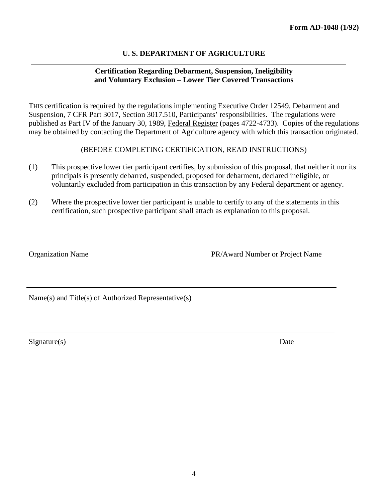#### **U. S. DEPARTMENT OF AGRICULTURE**

### **Certification Regarding Debarment, Suspension, Ineligibility and Voluntary Exclusion – Lower Tier Covered Transactions**

THIS certification is required by the regulations implementing Executive Order 12549, Debarment and Suspension, 7 CFR Part 3017, Section 3017.510, Participants' responsibilities. The regulations were published as Part IV of the January 30, 1989, Federal Register (pages 4722-4733). Copies of the regulations may be obtained by contacting the Department of Agriculture agency with which this transaction originated.

(BEFORE COMPLETING CERTIFICATION, READ INSTRUCTIONS)

- (1) This prospective lower tier participant certifies, by submission of this proposal, that neither it nor its principals is presently debarred, suspended, proposed for debarment, declared ineligible, or voluntarily excluded from participation in this transaction by any Federal department or agency.
- (2) Where the prospective lower tier participant is unable to certify to any of the statements in this certification, such prospective participant shall attach as explanation to this proposal.

Organization Name PR/Award Number or Project Name

Name(s) and Title(s) of Authorized Representative(s)

Signature(s) Date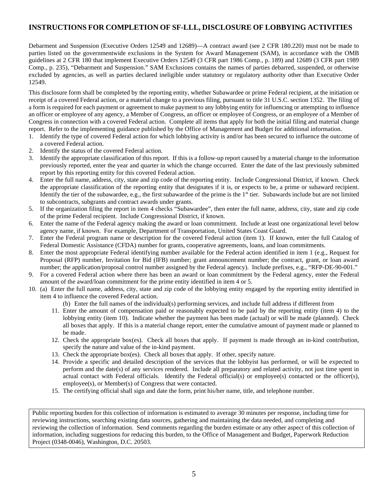## **INSTRUCTIONS FOR COMPLETION OF SF-LLL, DISCLOSURE OF LOBBYING ACTIVITIES**

Debarment and Suspension (Executive Orders 12549 and 12689)—A contract award (see 2 CFR 180.220) must not be made to parties listed on the governmentwide exclusions in the System for Award Management (SAM), in accordance with the OMB guidelines at 2 CFR 180 that implement Executive Orders 12549 (3 CFR part 1986 Comp., p. 189) and 12689 (3 CFR part 1989 Comp., p. 235), "Debarment and Suspension." SAM Exclusions contains the names of parties debarred, suspended, or otherwise excluded by agencies, as well as parties declared ineligible under statutory or regulatory authority other than Executive Order 12549.

This disclosure form shall be completed by the reporting entity, whether Subawardee or prime Federal recipient, at the initiation or receipt of a covered Federal action, or a material change to a previous filing, pursuant to title 31 U.S.C. section 1352. The filing of a form is required for each payment or agreement to make payment to any lobbying entity for influencing or attempting to influence an officer or employee of any agency, a Member of Congress, an officer or employee of Congress, or an employee of a Member of Congress in connection with a covered Federal action. Complete all items that apply for both the initial filing and material change report. Refer to the implementing guidance published by the Office of Management and Budget for additional information.

- 1. Identify the type of covered Federal action for which lobbying activity is and/or has been secured to influence the outcome of a covered Federal action.
- 2. Identify the status of the covered Federal action.
- 3. Identify the appropriate classification of this report. If this is a follow-up report caused by a material change to the information previously reported, enter the year and quarter in which the change occurred. Enter the date of the last previously submitted report by this reporting entity for this covered Federal action.
- 4. Enter the full name, address, city, state and zip code of the reporting entity. Include Congressional District, if known. Check the appropriate classification of the reporting entity that designates if it is, or expects to be, a prime or subaward recipient. Identify the tier of the subawardee, e.g., the first subawardee of the prime is the  $1<sup>st</sup>$  tier. Subawards include but are not limited to subcontracts, subgrants and contract awards under grants.
- 5. If the organization filing the report in item 4 checks "Subawardee", then enter the full name, address, city, state and zip code of the prime Federal recipient. Include Congressional District, if known.
- 6. Enter the name of the Federal agency making the award or loan commitment. Include at least one organizational level below agency name, if known. For example, Department of Transportation, United States Coast Guard.
- 7. Enter the Federal program name or description for the covered Federal action (item 1). If known, enter the full Catalog of Federal Domestic Assistance (CFDA) number for grants, cooperative agreements, loans, and loan commitments.
- 8. Enter the most appropriate Federal identifying number available for the Federal action identified in item 1 (e.g., Request for Proposal (RFP) number, Invitation for Bid (IFB) number; grant announcement number; the contract, grant, or loan award number; the application/proposal control number assigned by the Federal agency). Include prefixes, e.g., "RFP-DE-90-001."
- 9. For a covered Federal action where there has been an award or loan commitment by the Federal agency, enter the Federal amount of the award/loan commitment for the prime entity identified in item 4 or 5.
- 10. (a) Enter the full name, address, city, state and zip code of the lobbying entity engaged by the reporting entity identified in item 4 to influence the covered Federal action.
	- (b) Enter the full names of the individual(s) performing services, and include full address if different from
	- 11. Enter the amount of compensation paid or reasonably expected to be paid by the reporting entity (item 4) to the lobbying entity (item 10). Indicate whether the payment has been made (actual) or will be made (planned). Check all boxes that apply. If this is a material change report, enter the cumulative amount of payment made or planned to be made.
	- 12. Check the appropriate box(es). Check all boxes that apply. If payment is made through an in-kind contribution, specify the nature and value of the in-kind payment.
	- 13. Check the appropriate box(es). Check all boxes that apply. If other, specify nature.
	- 14. Provide a specific and detailed description of the services that the lobbyist has performed, or will be expected to perform and the date(s) of any services rendered. Include all preparatory and related activity, not just time spent in actual contact with Federal officials. Identify the Federal official(s) or employee(s) contacted or the officer(s), employee(s), or Member(s) of Congress that were contacted.
	- 15. The certifying official shall sign and date the form, print his/her name, title, and telephone number.

Public reporting burden for this collection of information is estimated to average 30 minutes per response, including time for reviewing instructions, searching existing data sources, gathering and maintaining the data needed, and completing and reviewing the collection of information. Send comments regarding the burden estimate or any other aspect of this collection of information, including suggestions for reducing this burden, to the Office of Management and Budget, Paperwork Reduction Project (0348-0046), Washington, D.C. 20503.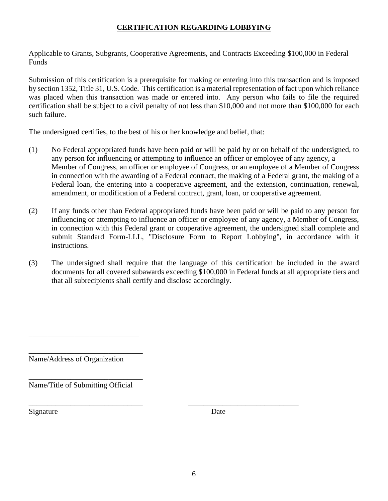# **CERTIFICATION REGARDING LOBBYING**

Applicable to Grants, Subgrants, Cooperative Agreements, and Contracts Exceeding \$100,000 in Federal **Funds** 

Submission of this certification is a prerequisite for making or entering into this transaction and is imposed by section 1352, Title 31, U.S. Code. This certification is a material representation of fact upon which reliance was placed when this transaction was made or entered into. Any person who fails to file the required certification shall be subject to a civil penalty of not less than \$10,000 and not more than \$100,000 for each such failure.

The undersigned certifies, to the best of his or her knowledge and belief, that:

- (1) No Federal appropriated funds have been paid or will be paid by or on behalf of the undersigned, to any person for influencing or attempting to influence an officer or employee of any agency, a Member of Congress, an officer or employee of Congress, or an employee of a Member of Congress in connection with the awarding of a Federal contract, the making of a Federal grant, the making of a Federal loan, the entering into a cooperative agreement, and the extension, continuation, renewal, amendment, or modification of a Federal contract, grant, loan, or cooperative agreement.
- (2) If any funds other than Federal appropriated funds have been paid or will be paid to any person for influencing or attempting to influence an officer or employee of any agency, a Member of Congress, in connection with this Federal grant or cooperative agreement, the undersigned shall complete and submit Standard Form-LLL, "Disclosure Form to Report Lobbying", in accordance with it instructions.
- (3) The undersigned shall require that the language of this certification be included in the award documents for all covered subawards exceeding \$100,000 in Federal funds at all appropriate tiers and that all subrecipients shall certify and disclose accordingly.

Name/Address of Organization

\_\_\_\_\_\_\_\_\_\_\_\_\_\_\_\_\_\_\_\_\_\_\_\_\_\_\_\_\_\_ Name/Title of Submitting Official

\_\_\_\_\_\_\_\_\_\_\_\_\_\_\_\_\_\_\_\_\_\_\_\_\_\_\_\_\_

\_\_\_\_\_\_\_\_\_\_\_\_\_\_\_\_\_\_\_\_\_\_\_\_\_\_\_\_\_\_

\_\_\_\_\_\_\_\_\_\_\_\_\_\_\_\_\_\_\_\_\_\_\_\_\_\_\_\_\_\_ \_\_\_\_\_\_\_\_\_\_\_\_\_\_\_\_\_\_\_\_\_\_\_\_\_\_\_\_\_ Signature Date